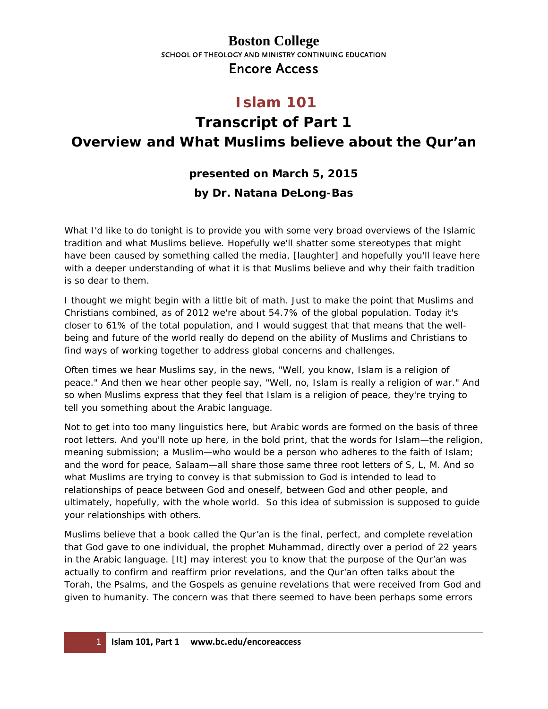#### **Boston College** SCHOOL OF THEOLOGY AND MINISTRY CONTINUING EDUCATION Encore Access

## **Islam 101**

# **Transcript of Part 1 Overview and What Muslims believe about the Qur'an**

#### **presented on March 5, 2015**

#### **by Dr. Natana DeLong-Bas**

What I'd like to do tonight is to provide you with some very broad overviews of the Islamic tradition and what Muslims believe. Hopefully we'll shatter some stereotypes that might have been caused by something called the media, [laughter] and hopefully you'll leave here with a deeper understanding of what it is that Muslims believe and why their faith tradition is so dear to them.

I thought we might begin with a little bit of math. Just to make the point that Muslims and Christians combined, as of 2012 we're about 54.7% of the global population. Today it's closer to 61% of the total population, and I would suggest that that means that the wellbeing and future of the world really do depend on the ability of Muslims and Christians to find ways of working together to address global concerns and challenges.

Often times we hear Muslims say, in the news, "Well, you know, Islam is a religion of peace." And then we hear other people say, "Well, no, Islam is really a religion of war." And so when Muslims express that they feel that Islam is a religion of peace, they're trying to tell you something about the Arabic language.

Not to get into too many linguistics here, but Arabic words are formed on the basis of three root letters. And you'll note up here, in the bold print, that the words for Islam—the religion, meaning submission; a Muslim—who would be a person who adheres to the faith of Islam; and the word for peace, *Salaam*—all share those same three root letters of S, L, M. And so what Muslims are trying to convey is that submission to God is intended to lead to relationships of peace between God and oneself, between God and other people, and ultimately, hopefully, with the whole world. So this idea of submission is supposed to guide your relationships with others.

Muslims believe that a book called the Qur'an is the final, perfect, and complete revelation that God gave to one individual, the prophet Muhammad, directly over a period of 22 years in the Arabic language. [It] may interest you to know that the purpose of the Qur'an was actually to confirm and reaffirm prior revelations, and the Qur'an often talks about the Torah, the Psalms, and the Gospels as genuine revelations that were received from God and given to humanity. The concern was that there seemed to have been perhaps some errors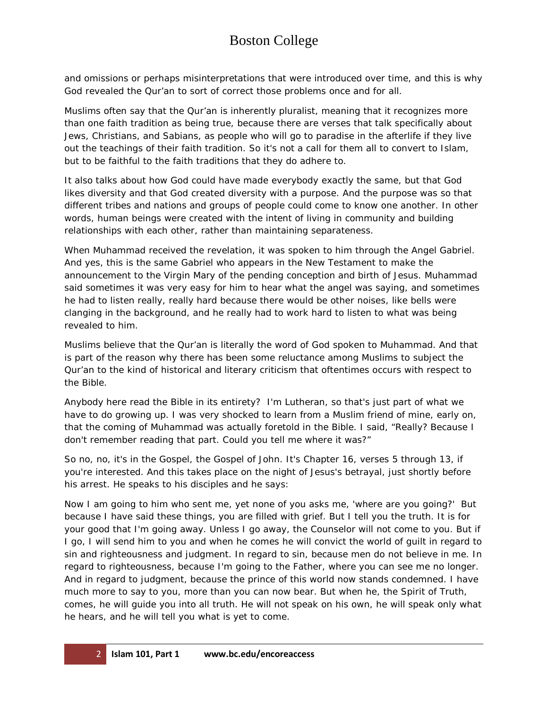### Boston College

and omissions or perhaps misinterpretations that were introduced over time, and this is why God revealed the Qur'an to sort of correct those problems once and for all.

Muslims often say that the Qur'an is inherently pluralist, meaning that it recognizes more than one faith tradition as being true, because there are verses that talk specifically about Jews, Christians, and Sabians, as people who will go to paradise in the afterlife if they live out the teachings of their faith tradition. So it's not a call for them all to convert to Islam, but to be faithful to the faith traditions that they do adhere to.

It also talks about how God could have made everybody exactly the same, but that God likes diversity and that God created diversity with a purpose. And the purpose was so that different tribes and nations and groups of people could come to know one another. In other words, human beings were created with the intent of living in community and building relationships with each other, rather than maintaining separateness.

When Muhammad received the revelation, it was spoken to him through the Angel Gabriel. And yes, this is the same Gabriel who appears in the New Testament to make the announcement to the Virgin Mary of the pending conception and birth of Jesus. Muhammad said sometimes it was very easy for him to hear what the angel was saying, and sometimes he had to listen really, really hard because there would be other noises, like bells were clanging in the background, and he really had to work hard to listen to what was being revealed to him.

Muslims believe that the Qur'an is literally the word of God spoken to Muhammad. And that is part of the reason why there has been some reluctance among Muslims to subject the Qur'an to the kind of historical and literary criticism that oftentimes occurs with respect to the Bible.

Anybody here read the Bible in its entirety? I'm Lutheran, so that's just part of what we have to do growing up. I was very shocked to learn from a Muslim friend of mine, early on, that the coming of Muhammad was actually foretold in the Bible. I said, "Really? Because I don't remember reading that part. Could you tell me where it was?"

So no, no, it's in the Gospel, the Gospel of John. It's Chapter 16, verses 5 through 13, if you're interested. And this takes place on the night of Jesus's betrayal, just shortly before his arrest. He speaks to his disciples and he says:

Now I am going to him who sent me, yet none of you asks me, 'where are you going?' But because I have said these things, you are filled with grief. But I tell you the truth. It is for your good that I'm going away. Unless I go away, the Counselor will not come to you. But if I go, I will send him to you and when he comes he will convict the world of guilt in regard to sin and righteousness and judgment. In regard to sin, because men do not believe in me. In regard to righteousness, because I'm going to the Father, where you can see me no longer. And in regard to judgment, because the prince of this world now stands condemned. I have much more to say to you, more than you can now bear. But when he, the Spirit of Truth, comes, he will guide you into all truth. He will not speak on his own, he will speak only what he hears, and he will tell you what is yet to come.